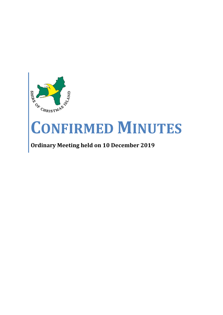

# **CONFIRMED MINUTES**

# **Ordinary Meeting held on 10 December 2019**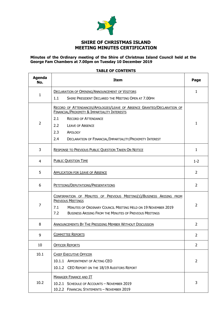

## **SHIRE OF CHRISTMAS ISLAND MEETING MINUTES CERTIFICATION**

#### **Minutes of the Ordinary meeting of the Shire of Christmas Island Council held at the George Fam Chambers at 7.00pm on Tuesday 10 December 2019**

#### **TABLE OF CONTENTS**

| <b>Agenda</b><br>No. | <b>Item</b>                                                                                                                                                                                                                                                                          | Page           |
|----------------------|--------------------------------------------------------------------------------------------------------------------------------------------------------------------------------------------------------------------------------------------------------------------------------------|----------------|
| 1                    | <b>DECLARATION OF OPENING/ANNOUNCEMENT OF VISITORS</b><br>1.1<br>SHIRE PRESIDENT DECLARED THE MEETING OPEN AT 7.00PM                                                                                                                                                                 | $\mathbf{1}$   |
| $\overline{2}$       | RECORD OF ATTENDANCES/APOLOGIES/LEAVE OF ABSENCE GRANTED/DECLARATION OF<br>FINANCIAL/PROXIMITY & IMPARTIALITY INTERESTS<br>2.1<br><b>RECORD OF ATTENDANCE</b><br>2.2<br><b>LEAVE OF ABSENCE</b><br>2.3<br>APOLOGY<br>2.4<br>DECLARATION OF FINANCIAL/IMPARTIALITY/PROXIMITY INTEREST | $\mathbf{1}$   |
| 3                    | <b>RESPONSE TO PREVIOUS PUBLIC QUESTION TAKEN ON NOTICE</b>                                                                                                                                                                                                                          |                |
| 4                    | <b>PUBLIC QUESTION TIME</b>                                                                                                                                                                                                                                                          |                |
| 5                    | <b>APPLICATION FOR LEAVE OF ABSENCE</b>                                                                                                                                                                                                                                              |                |
| 6                    | PETITIONS/DEPUTATIONS/PRESENTATIONS                                                                                                                                                                                                                                                  |                |
| 7                    | CONFIRMATION OF MINUTES OF PREVIOUS MEETING(S)/BUSINESS ARISING FROM<br><b>PREVIOUS MEETINGS</b><br>MINUTES OF ORDINARY COUNCIL MEETING HELD ON 19 NOVEMBER 2019<br>7.1<br>7.2<br><b>BUSINESS ARISING FROM THE MINUTES OF PREVIOUS MEETINGS</b>                                      | 2              |
| 8                    | <b>ANNOUNCEMENTS BY THE PRESIDING MEMBER WITHOUT DISCUSSION</b>                                                                                                                                                                                                                      | $\overline{2}$ |
| 9                    | <b>COMMITTEE REPORTS</b>                                                                                                                                                                                                                                                             | 2              |
| 10                   | <b>OFFICER REPORTS</b>                                                                                                                                                                                                                                                               | $\overline{2}$ |
| 10.1                 | <b>CHIEF EXECUTIVE OFFICER</b><br>10.1.1 APPOINTMENT OF ACTING CEO<br>10.1.2 CEO REPORT ON THE 18/19 AUDITORS REPORT                                                                                                                                                                 | 2              |
| 10.2                 | <b>MANAGER FINANCE AND IT</b><br>10.2.1 SCHEDULE OF ACCOUNTS - NOVEMBER 2019<br>10.2.2 FINANCIAL STATEMENTS - NOVEMBER 2019                                                                                                                                                          | 3              |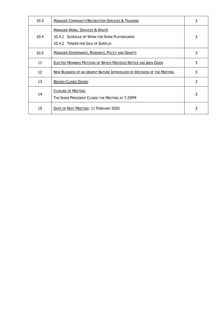| 10.3 | <b>MANAGER COMMUNITY/RECREATION SERVICES &amp; TRAINING</b>                                                                     |   |
|------|---------------------------------------------------------------------------------------------------------------------------------|---|
| 10.4 | <b>MANAGER WORK, SERVICES &amp; WASTE</b><br>10.4.1 SCHEDULE OF WORK FOR SHIRE PLAYGROUNDS<br>10.4.2 TENDER FOR SALE OF SURPLUS | 3 |
| 10.5 | <b>MANAGER GOVERNANCE, RESEARCH, POLICY AND GRANTS</b>                                                                          | 3 |
| 11   | ELECTED MEMBERS MOTIONS OF WHICH PREVIOUS NOTICE HAS BEEN GIVEN                                                                 | 3 |
| 12   | NEW BUSINESS OF AN URGENT NATURE INTRODUCED BY DECISION OF THE MEETING                                                          | 3 |
| 13   | <b>BEHIND CLOSED DOORS</b>                                                                                                      | 3 |
| 14   | <b>CLOSURE OF MEETING</b><br>THE SHIRE PRESIDENT CLOSED THE MEETING AT 7.25PM                                                   | 3 |
| 15   | DATE OF NEXT MEETING: 11 FEBRUARY 2020                                                                                          | 3 |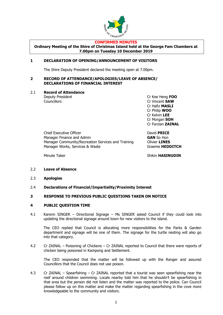

#### **CONFIRMED MINUTES**

**Ordinary Meeting of the Shire of Christmas Island held at the George Fam Chambers at 7.00pm on Tuesday 10 December 2019**

#### **1 DECLARATION OF OPENING/ANNOUNCEMENT OF VISITORS**

The Shire Deputy President declared the meeting open at 7.00pm.

#### **2 RECORD OF ATTENDANCE/APOLOGIES/LEAVE OF ABSENCE/ DECLARATIONS OF FINANCIAL INTEREST**

2.1 **Record of Attendance**

Deputy President Cr Kee Heng **FOO** Councillors Cr Vincent **SAW** Cr Hafiz **MASLI** Cr Philip **WOO** Cr Kelvin **LEE** Cr Morgan **SOH** Cr Farzian **ZAINAL**

Chief Executive Officer **David PRICE** Manager Finance and Admin **GAN** So Hon Manager Community/Recreation Services and Training Olivier **LINES** Manager Works, Services & Waste Graeme **HEDDITCH** 

Minute Taker **Shikin HASINUDIN** 

- 2.2 **Leave of Absence**
- 2.3 **Apologies**
- 2.4 **Declarations of Financial/Impartiality/Proximity Interest**

#### **3 RESPONSE TO PREVIOUS PUBLIC QUESTIONS TAKEN ON NOTICE**

#### **4 PUBLIC QUESTION TIME**

4.1 Karenn SINGER – Directional Signage – Ms SINGER asked Council if they could look into updating the directional signage around town for new visitors to the island.

The CEO replied that Council is allocating more responsibilities for the Parks & Garden department and signage will be one of them. The signage for the turtle nesting will also go into that category.

4.2 Cr ZAINAL – Poisoning of Chickens – Cr ZAINAL reported to Council that there were reports of chicken being poisoned in Kampong and Settlement.

The CEO responded that the matter will be followed up with the Ranger and assured Councillors that the Council does not use poison.

4.3 Cr ZAINAL – Spearfishing – Cr ZAINAL reported that a tourist was seen spearfishing near the reef around children swimming. Locals nearby told him that he shouldn't be spearfishing in that area but the person did not listen and the matter was reported to the police. Can Council please follow up on this matter and make the matter regarding spearfishing in the cove more knowledgeable to the community and visitors.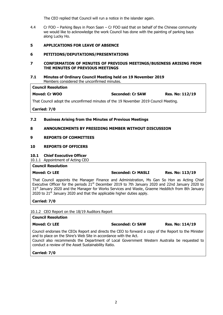The CEO replied that Council will run a notice in the islander again.

4.4 Cr FOO – Parking Bays in Poon Saan – Cr FOO said that on behalf of the Chinese community we would like to acknowledge the work Council has done with the painting of parking bays along Lucky Ho.

#### **5 APPLICATIONS FOR LEAVE OF ABSENCE**

#### **6 PETITIONS/DEPUTATIONS/PRESENTATIONS**

#### **7 CONFIRMATION OF MINUTES OF PREVIOUS MEETINGS/BUSINESS ARISING FROM THE MINUTES OF PREVIOUS MEETINGS**

#### **7.1 Minutes of Ordinary Council Meeting held on 19 November 2019** Members considered the unconfirmed minutes.

#### **Council Resolution**

## **Moved: Cr WOO Seconded: Cr SAW Res. No: 112/19**

That Council adopt the unconfirmed minutes of the 19 November 2019 Council Meeting.

**Carried: 7/0**

## **7.2 Business Arising from the Minutes of Previous Meetings**

#### **8 ANNOUNCEMENTS BY PRESIDING MEMBER WITHOUT DISCUSSION**

#### **9 REPORTS OF COMMITTEES**

#### **10 REPORTS OF OFFICERS**

#### **10.1 Chief Executive Officer**

10.1.1 Appointment of Acting CEO

## **Council Resolution**

#### **Moved: Cr LEE Seconded: Cr MASLI Res. No: 113/19**

That Council appoints the Manager Finance and Administration, Ms Gan So Hon as Acting Chief Executive Officer for the periods 21<sup>st</sup> December 2019 to 7th January 2020 and 22nd January 2020 to 31<sup>st</sup> January 2020 and the Manager for Works Services and Waste, Graeme Hedditch from 8th January 2020 to  $21<sup>st</sup>$  January 2020 and that the applicable higher duties apply.

## **Carried: 7/0**

10.1.2 CEO Report on the 18/19 Auditors Report

#### **Council Resolution**

Council endorses the CEOs Report and directs the CEO to forward a copy of the Report to the Minister and to place on the Shire's Web Site in accordance with the Act.

Council also recommends the Department of Local Government Western Australia be requested to conduct a review of the Asset Sustainability Ratio.

## **Carried: 7/0**

**Moved: Cr LEE Seconded: Cr SAW Res. No: 114/19**